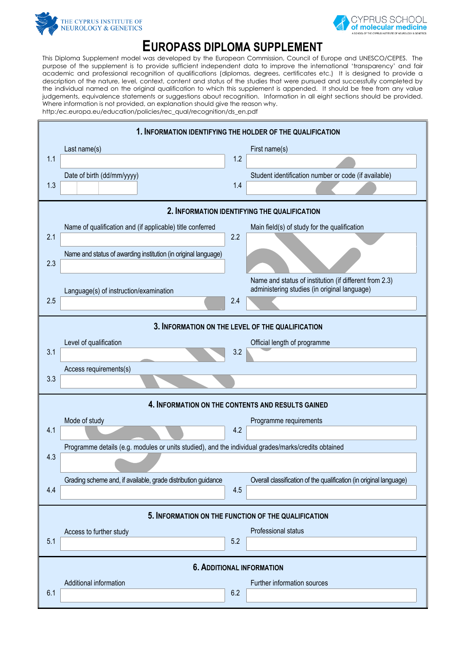



## **EUROPASS DIPLOMA SUPPLEMENT**

This Diploma Supplement model was developed by the European Commission, Council of Europe and UNESCO/CEPES. The purpose of the supplement is to provide sufficient independent data to improve the international 'transparency' and fair academic and professional recognition of qualifications (diplomas, degrees, certificates etc.) It is designed to provide a description of the nature, level, context, content and status of the studies that were pursued and successfully completed by the individual named on the original qualification to which this supplement is appended. It should be free from any value judgements, equivalence statements or suggestions about recognition. Information in all eight sections should be provided. Where information is not provided, an explanation should give the reason why.

http:/ec.europa.eu/education/policies/rec\_qual/recognition/ds\_en.pdf

| 1. INFORMATION IDENTIFYING THE HOLDER OF THE QUALIFICATION |                                                                                                     |     |                                                                    |  |  |
|------------------------------------------------------------|-----------------------------------------------------------------------------------------------------|-----|--------------------------------------------------------------------|--|--|
|                                                            | Last name(s)                                                                                        |     | First name(s)                                                      |  |  |
| 1.1                                                        |                                                                                                     | 1.2 |                                                                    |  |  |
|                                                            | Date of birth (dd/mm/yyyy)                                                                          |     | Student identification number or code (if available)               |  |  |
| 1.3                                                        |                                                                                                     | 1.4 |                                                                    |  |  |
| 2. INFORMATION IDENTIFYING THE QUALIFICATION               |                                                                                                     |     |                                                                    |  |  |
|                                                            | Name of qualification and (if applicable) title conferred                                           |     | Main field(s) of study for the qualification                       |  |  |
| 2.1                                                        |                                                                                                     | 2.2 |                                                                    |  |  |
| 2.3                                                        | Name and status of awarding institution (in original language)                                      |     |                                                                    |  |  |
|                                                            |                                                                                                     |     | Name and status of institution (if different from 2.3)             |  |  |
| 2.5                                                        | Language(s) of instruction/examination                                                              | 2.4 | administering studies (in original language)                       |  |  |
|                                                            |                                                                                                     |     |                                                                    |  |  |
| 3. INFORMATION ON THE LEVEL OF THE QUALIFICATION           |                                                                                                     |     |                                                                    |  |  |
|                                                            | Level of qualification                                                                              |     | Official length of programme                                       |  |  |
| 3.1                                                        |                                                                                                     | 3.2 |                                                                    |  |  |
|                                                            | Access requirements(s)                                                                              |     |                                                                    |  |  |
| 3.3                                                        |                                                                                                     |     |                                                                    |  |  |
| 4. INFORMATION ON THE CONTENTS AND RESULTS GAINED          |                                                                                                     |     |                                                                    |  |  |
|                                                            | Mode of study                                                                                       |     | Programme requirements                                             |  |  |
| 4.1                                                        |                                                                                                     | 4.2 |                                                                    |  |  |
|                                                            | Programme details (e.g. modules or units studied), and the individual grades/marks/credits obtained |     |                                                                    |  |  |
| 4.3                                                        |                                                                                                     |     |                                                                    |  |  |
|                                                            | Grading scheme and, if available, grade distribution guidance                                       |     | Overall classification of the qualification (in original language) |  |  |
| 4.4                                                        |                                                                                                     | 4.5 |                                                                    |  |  |
| 5. INFORMATION ON THE FUNCTION OF THE QUALIFICATION        |                                                                                                     |     |                                                                    |  |  |
|                                                            | Access to further study                                                                             |     | Professional status                                                |  |  |
| 5.1                                                        |                                                                                                     | 5.2 |                                                                    |  |  |
| <b>6. ADDITIONAL INFORMATION</b>                           |                                                                                                     |     |                                                                    |  |  |
|                                                            | Additional information                                                                              |     | Further information sources                                        |  |  |
| 6.1                                                        |                                                                                                     | 6.2 |                                                                    |  |  |
|                                                            |                                                                                                     |     |                                                                    |  |  |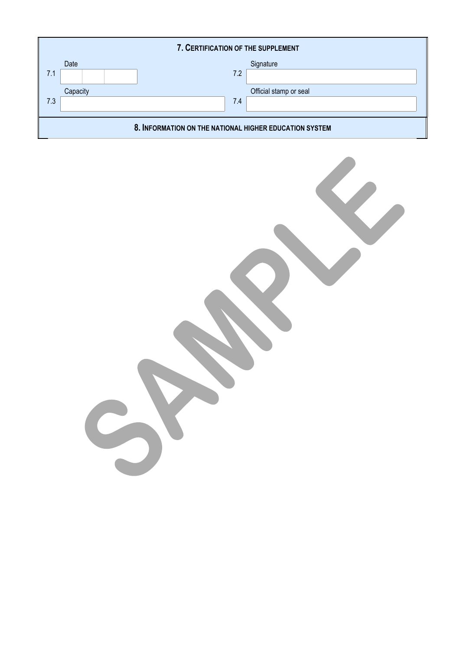| 7. CERTIFICATION OF THE SUPPLEMENT                     |          |     |                        |  |  |  |
|--------------------------------------------------------|----------|-----|------------------------|--|--|--|
|                                                        | Date     |     | Signature              |  |  |  |
| 7.1                                                    |          | 7.2 |                        |  |  |  |
|                                                        | Capacity |     | Official stamp or seal |  |  |  |
| 7.3                                                    |          | 7.4 |                        |  |  |  |
| 8. INFORMATION ON THE NATIONAL HIGHER EDUCATION SYSTEM |          |     |                        |  |  |  |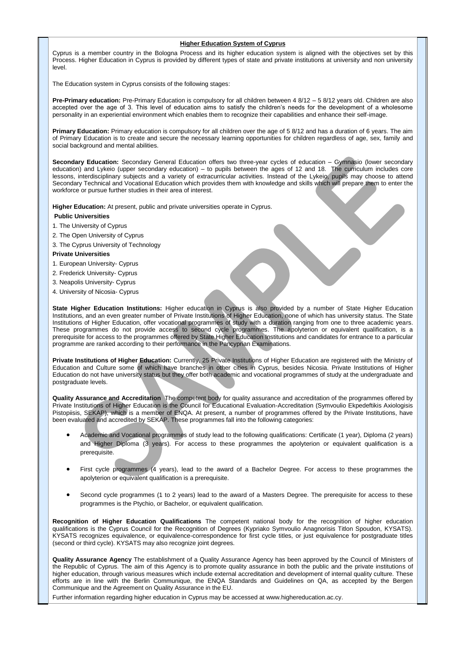## **Higher Education System of Cyprus**

Cyprus is a member country in the Bologna Process and its higher education system is aligned with the objectives set by this Process. Higher Education in Cyprus is provided by different types of state and private institutions at university and non university level.

The Education system in Cyprus consists of the following stages:

**Pre-Primary education:** Pre-Primary Education is compulsory for all children between 4 8/12 – 5 8/12 years old. Children are also accepted over the age of 3. This level of education aims to satisfy the children's needs for the development of a wholesome personality in an experiential environment which enables them to recognize their capabilities and enhance their self-image.

**Primary Education:** Primary education is compulsory for all children over the age of 5 8/12 and has a duration of 6 years. The aim of Primary Education is to create and secure the necessary learning opportunities for children regardless of age, sex, family and social background and mental abilities.

**Secondary Education:** Secondary General Education offers two three-year cycles of education – Gymnasio (lower secondary education) and Lykeio (upper secondary education) – to pupils between the ages of 12 and 18. The curriculum includes core lessons, interdisciplinary subjects and a variety of extracurricular activities. Instead of the Lykeio, pupils may choose to attend Secondary Technical and Vocational Education which provides them with knowledge and skills which will prepare them to enter the workforce or pursue further studies in their area of interest.

**Higher Education:** At present, public and private universities operate in Cyprus.

- **Public Universities**
- 1. The University of Cyprus
- 2. The Open University of Cyprus
- 3. The Cyprus University of Technology

## **Private Universities**

- 1. European University- Cyprus
- 2. Frederick University- Cyprus
- 3. Neapolis University- Cyprus
- 4. University of Nicosia- Cyprus

**State Higher Education Institutions:** Higher education in Cyprus is also provided by a number of State Higher Education Institutions, and an even greater number of Private Institutions of Higher Education, none of which has university status. The State Institutions of Higher Education, offer vocational programmes of study with a duration ranging from one to three academic years. These programmes do not provide access to second cycle programmes. The apolyterion or equivalent qualification, is a prerequisite for access to the programmes offered by State Higher Education Institutions and candidates for entrance to a particular programme are ranked according to their performance in the Pancyprian Examinations.

Private Institutions of Higher Education: Currently, 25 Private Institutions of Higher Education are registered with the Ministry of Education and Culture some of which have branches in other cities in Cyprus, besides Nicosia. Private Institutions of Higher Education do not have university status but they offer both academic and vocational programmes of study at the undergraduate and postgraduate levels.

**Quality Assurance and Accreditation** The competent body for quality assurance and accreditation of the programmes offered by Private Institutions of Higher Education is the Council for Educational Evaluation-Accreditation (Symvoulio Ekpedeftikis Axiologisis Pistopiisis, SEKAP), which is a member of ENQA. At present, a number of programmes offered by the Private Institutions, have been evaluated and accredited by SEKAP. These programmes fall into the following categories:

- Academic and Vocational programmes of study lead to the following qualifications: Certificate (1 year), Diploma (2 years) and Higher Diploma (3 years). For access to these programmes the apolyterion or equivalent qualification is a prerequisite.
- First cycle programmes (4 years), lead to the award of a Bachelor Degree. For access to these programmes the apolyterion or equivalent qualification is a prerequisite.
- Second cycle programmes (1 to 2 years) lead to the award of a Masters Degree. The prerequisite for access to these programmes is the Ptychio, or Bachelor, or equivalent qualification.

**Recognition of Higher Education Qualifications** The competent national body for the recognition of higher education qualifications is the Cyprus Council for the Recognition of Degrees (Kypriako Symvoulio Anagnorisis Titlon Spoudon, KYSATS). KYSATS recognizes equivalence, or equivalence-correspondence for first cycle titles, or just equivalence for postgraduate titles (second or third cycle). KYSATS may also recognize joint degrees.

**Quality Assurance Agency** The establishment of a Quality Assurance Agency has been approved by the Council of Ministers of the Republic of Cyprus. The aim of this Agency is to promote quality assurance in both the public and the private institutions of higher education, through various measures which include external accreditation and development of internal quality culture. These efforts are in line with the Berlin Communique, the ENQA Standards and Guidelines on QA, as accepted by the Bergen Communique and the Agreement on Quality Assurance in the EU.

Further information regarding higher education in Cyprus may be accessed at www.highereducation.ac.cy.